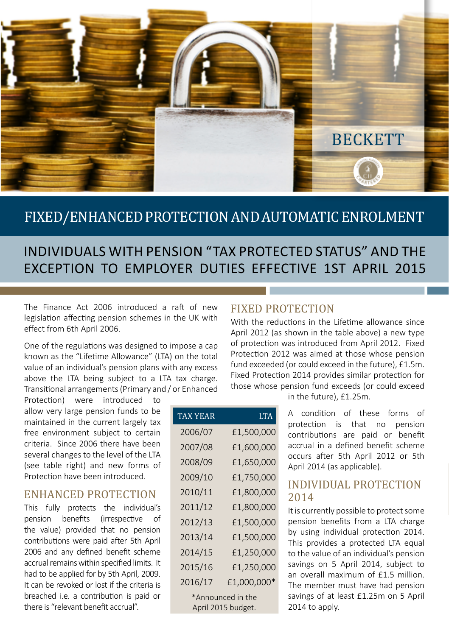

## FIXED/ENHANCED PROTECTION AND AUTOMATIC ENROLMENT

## INDIVIDUALS WITH PENSION "TAX PROTECTED STATUS" AND THE EXCEPTION TO EMPLOYER DUTIES EFFECTIVE 1ST APRIL 2015

The Finance Act 2006 introduced a raft of new legislation affecting pension schemes in the UK with effect from 6th April 2006.

One of the regulations was designed to impose a cap known as the "Lifetime Allowance" (LTA) on the total value of an individual's pension plans with any excess above the LTA being subject to a LTA tax charge. Transitional arrangements (Primary and / or Enhanced

Protection) were introduced to allow very large pension funds to be maintained in the current largely tax free environment subject to certain criteria. Since 2006 there have been several changes to the level of the LTA (see table right) and new forms of Protection have been introduced.

#### ENHANCED PROTECTION

This fully protects the individual's pension benefits (irrespective of the value) provided that no pension contributions were paid after 5th April 2006 and any defined benefit scheme accrual remains within specified limits. It had to be applied for by 5th April, 2009. It can be revoked or lost if the criteria is breached i.e. a contribution is paid or there is "relevant benefit accrual".

| TAX YEAR                                | <b>LTA</b>  |
|-----------------------------------------|-------------|
| 2006/07                                 | £1,500,000  |
| 2007/08                                 | £1,600,000  |
| 2008/09                                 | £1,650,000  |
| 2009/10                                 | £1,750,000  |
| 2010/11                                 | £1,800,000  |
| 2011/12                                 | £1,800,000  |
| 2012/13                                 | £1,500,000  |
| 2013/14                                 | £1,500,000  |
| 2014/15                                 | £1,250,000  |
| 2015/16                                 | £1,250,000  |
| 2016/17                                 | £1,000,000* |
| *Announced in the<br>April 2015 budget. |             |

#### FIXED PROTECTION

With the reductions in the Lifetime allowance since April 2012 (as shown in the table above) a new type of protection was introduced from April 2012. Fixed Protection 2012 was aimed at those whose pension fund exceeded (or could exceed in the future), £1.5m. Fixed Protection 2014 provides similar protection for those whose pension fund exceeds (or could exceed

in the future), £1.25m.

A condition of these forms of protection is that no pension contributions are paid or benefit accrual in a defined benefit scheme occurs after 5th April 2012 or 5th April 2014 (as applicable).

#### INDIVIDUAL PROTECTION 2014

It is currently possible to protect some pension benefits from a LTA charge by using individual protection 2014. This provides a protected LTA equal to the value of an individual's pension savings on 5 April 2014, subject to an overall maximum of £1.5 million. The member must have had pension savings of at least £1.25m on 5 April 2014 to apply.